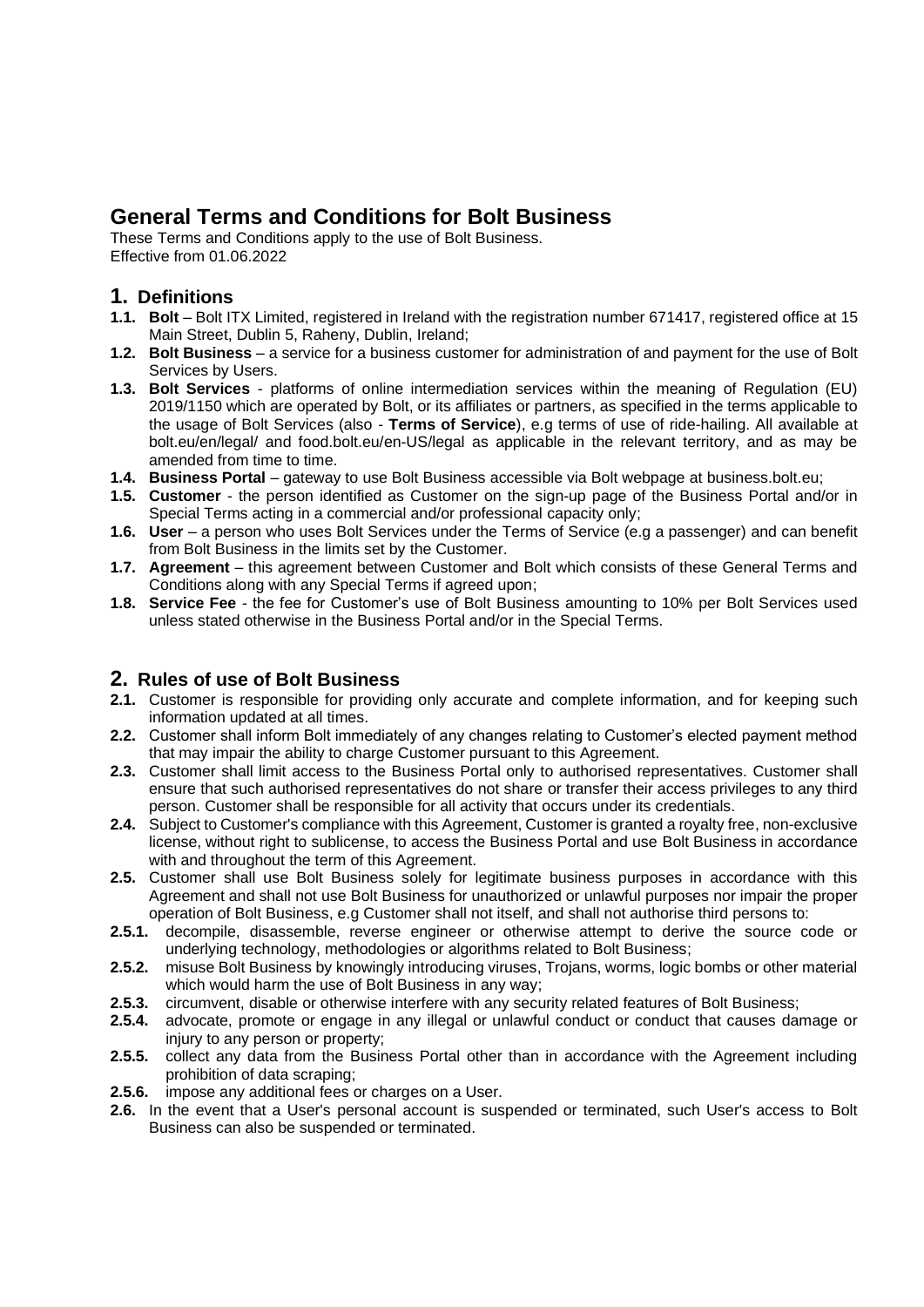# **General Terms and Conditions for Bolt Business**

These Terms and Conditions apply to the use of Bolt Business. Effective from 01.06.2022

### **1. Definitions**

- **1.1. Bolt** Bolt ITX Limited, registered in Ireland with the registration number 671417, registered office at 15 Main Street, Dublin 5, Raheny, Dublin, Ireland;
- **1.2. Bolt Business** a service for a business customer for administration of and payment for the use of Bolt Services by Users.
- **1.3. Bolt Services** platforms of online intermediation services within the meaning of Regulation (EU) 2019/1150 which are operated by Bolt, or its affiliates or partners, as specified in the terms applicable to the usage of Bolt Services (also - **Terms of Service**), e.g terms of use of ride-hailing. All available at bolt.eu/en/legal/ and food.bolt.eu/en-US/legal as applicable in the relevant territory, and as may be amended from time to time.
- **1.4. Business Portal** gateway to use Bolt Business accessible via Bolt webpage at business.bolt.eu;
- **1.5. Customer** the person identified as Customer on the sign-up page of the Business Portal and/or in Special Terms acting in a commercial and/or professional capacity only;
- **1.6. User** a person who uses Bolt Services under the Terms of Service (e.g a passenger) and can benefit from Bolt Business in the limits set by the Customer.
- **1.7. Agreement** this agreement between Customer and Bolt which consists of these General Terms and Conditions along with any Special Terms if agreed upon;
- **1.8. Service Fee** the fee for Customer's use of Bolt Business amounting to 10% per Bolt Services used unless stated otherwise in the Business Portal and/or in the Special Terms.

#### **2. Rules of use of Bolt Business**

- **2.1.** Customer is responsible for providing only accurate and complete information, and for keeping such information updated at all times.
- **2.2.** Customer shall inform Bolt immediately of any changes relating to Customer's elected payment method that may impair the ability to charge Customer pursuant to this Agreement.
- **2.3.** Customer shall limit access to the Business Portal only to authorised representatives. Customer shall ensure that such authorised representatives do not share or transfer their access privileges to any third person. Customer shall be responsible for all activity that occurs under its credentials.
- **2.4.** Subject to Customer's compliance with this Agreement, Customer is granted a royalty free, non-exclusive license, without right to sublicense, to access the Business Portal and use Bolt Business in accordance with and throughout the term of this Agreement.
- **2.5.** Customer shall use Bolt Business solely for legitimate business purposes in accordance with this Agreement and shall not use Bolt Business for unauthorized or unlawful purposes nor impair the proper operation of Bolt Business, e.g Customer shall not itself, and shall not authorise third persons to:<br>2.5.1. decompile, disassemble, reverse engineer or otherwise attempt to derive the source co
- **2.5.1.** decompile, disassemble, reverse engineer or otherwise attempt to derive the source code or underlying technology, methodologies or algorithms related to Bolt Business;
- **2.5.2.** misuse Bolt Business by knowingly introducing viruses, Trojans, worms, logic bombs or other material which would harm the use of Bolt Business in any way;
- **2.5.3.** circumvent, disable or otherwise interfere with any security related features of Bolt Business;
- **2.5.4.** advocate, promote or engage in any illegal or unlawful conduct or conduct that causes damage or injury to any person or property;
- **2.5.5.** collect any data from the Business Portal other than in accordance with the Agreement including prohibition of data scraping;
- **2.5.6.** impose any additional fees or charges on a User.
- **2.6.** In the event that a User's personal account is suspended or terminated, such User's access to Bolt Business can also be suspended or terminated.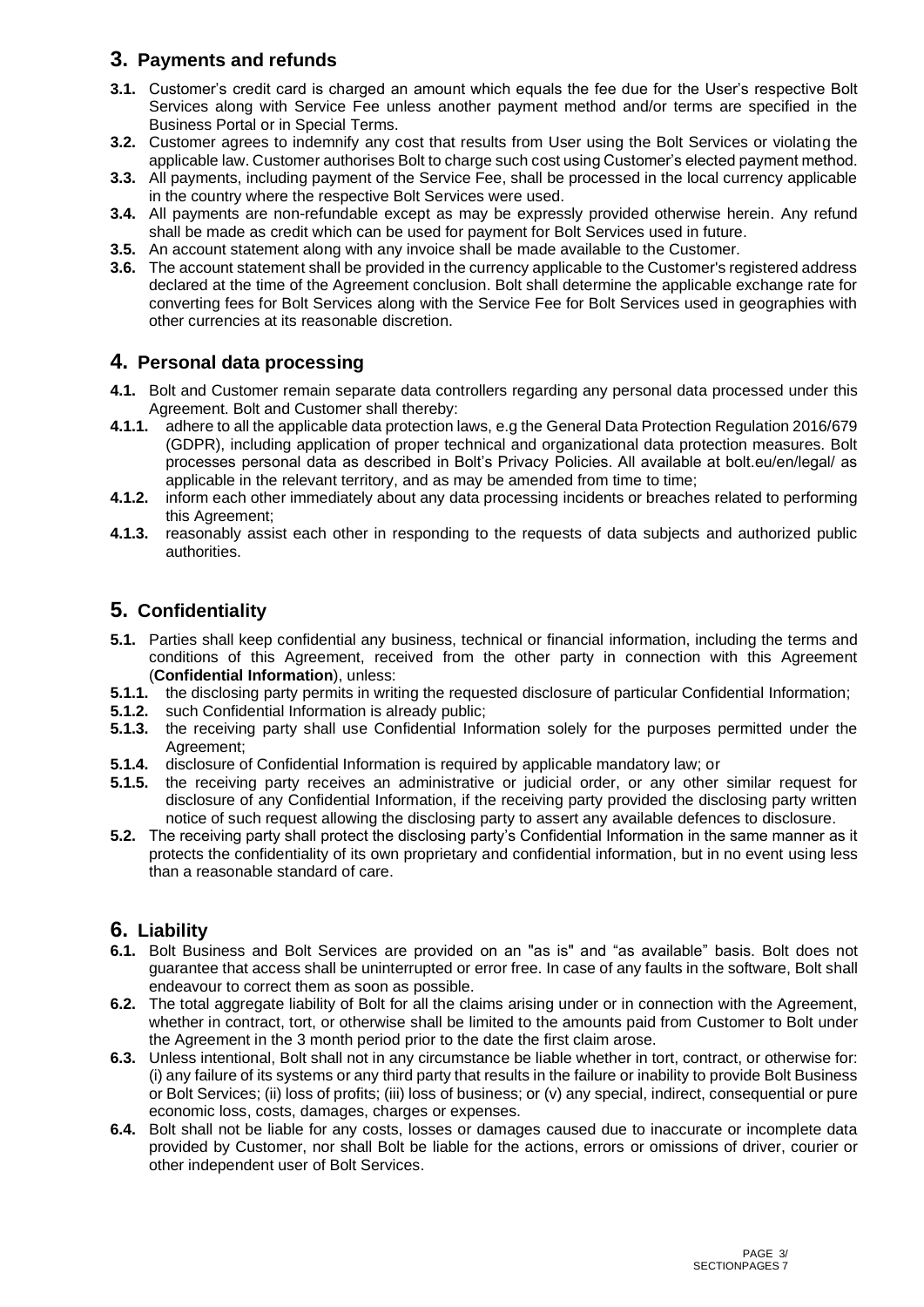# **3. Payments and refunds**

- **3.1.** Customer's credit card is charged an amount which equals the fee due for the User's respective Bolt Services along with Service Fee unless another payment method and/or terms are specified in the Business Portal or in Special Terms.
- **3.2.** Customer agrees to indemnify any cost that results from User using the Bolt Services or violating the applicable law. Customer authorises Bolt to charge such costusing Customer's elected payment method.
- **3.3.** All payments, including payment of the Service Fee, shall be processed in the local currency applicable in the country where the respective Bolt Services were used.
- **3.4.** All payments are non-refundable except as may be expressly provided otherwise herein. Any refund shall be made as credit which can be used for payment for Bolt Services used in future.
- **3.5.** An account statement along with any invoice shall be made available to the Customer.
- **3.6.** The account statement shall be provided in the currency applicable to the Customer's registered address declared at the time of the Agreement conclusion. Bolt shall determine the applicable exchange rate for converting fees for Bolt Services along with the Service Fee for Bolt Services used in geographies with other currencies at its reasonable discretion.

# **4. Personal data processing**

- **4.1.** Bolt and Customer remain separate data controllers regarding any personal data processed under this Agreement. Bolt and Customer shall thereby:
- **4.1.1.** adhere to all the applicable data protection laws, e.g the General Data Protection Regulation 2016/679 (GDPR), including application of proper technical and organizational data protection measures. Bolt processes personal data as described in Bolt's Privacy Policies. All available at bolt.eu/en/legal/ as applicable in the relevant territory, and as may be amended from time to time;
- **4.1.2.** inform each other immediately about any data processing incidents or breaches related to performing this Agreement;
- **4.1.3.** reasonably assist each other in responding to the requests of data subjects and authorized public authorities.

# **5. Confidentiality**

- **5.1.** Parties shall keep confidential any business, technical or financial information, including the terms and conditions of this Agreement, received from the other party in connection with this Agreement (**Confidential Information**), unless:
- **5.1.1.** the disclosing party permits in writing the requested disclosure of particular Confidential Information;
- **5.1.2.** such Confidential Information is already public;
- **5.1.3.** the receiving party shall use Confidential Information solely for the purposes permitted under the Agreement;
- **5.1.4.** disclosure of Confidential Information is required by applicable mandatory law; or
- **5.1.5.** the receiving party receives an administrative or judicial order, or any other similar request for disclosure of any Confidential Information, if the receiving party provided the disclosing party written notice of such request allowing the disclosing party to assert any available defences to disclosure.
- **5.2.** The receiving party shall protect the disclosing party's Confidential Information in the same manner as it protects the confidentiality of its own proprietary and confidential information, but in no event using less than a reasonable standard of care.

### **6. Liability**

- **6.1.** Bolt Business and Bolt Services are provided on an "as is" and "as available" basis. Bolt does not guarantee that access shall be uninterrupted or error free. In case of any faults in the software, Bolt shall endeavour to correct them as soon as possible.
- **6.2.** The total aggregate liability of Bolt for all the claims arising under or in connection with the Agreement, whether in contract, tort, or otherwise shall be limited to the amounts paid from Customer to Bolt under the Agreement in the 3 month period prior to the date the first claim arose.
- **6.3.** Unless intentional, Bolt shall not in any circumstance be liable whether in tort, contract, or otherwise for: (i) any failure of its systems or any third party that results in the failure or inability to provide Bolt Business or Bolt Services; (ii) loss of profits; (iii) loss of business; or (v) any special, indirect, consequential or pure economic loss, costs, damages, charges or expenses.
- **6.4.** Bolt shall not be liable for any costs, losses or damages caused due to inaccurate or incomplete data provided by Customer, nor shall Bolt be liable for the actions, errors or omissions of driver, courier or other independent user of Bolt Services.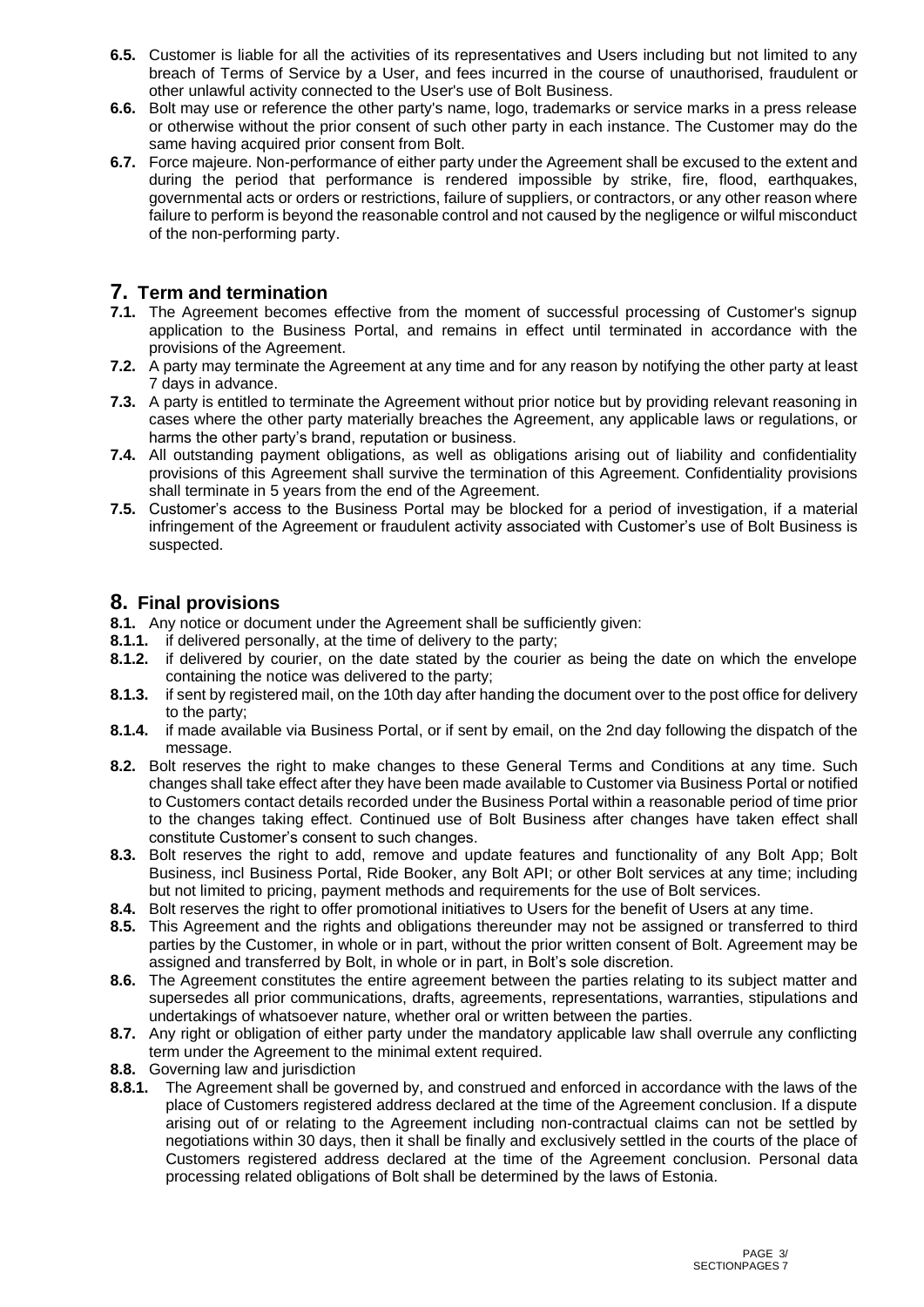- **6.5.** Customer is liable for all the activities of its representatives and Users including but not limited to any breach of Terms of Service by a User, and fees incurred in the course of unauthorised, fraudulent or other unlawful activity connected to the User's use of Bolt Business.
- **6.6.** Bolt may use or reference the other party's name, logo, trademarks or service marks in a press release or otherwise without the prior consent of such other party in each instance. The Customer may do the same having acquired prior consent from Bolt.
- **6.7.** Force majeure. Non-performance of either party under the Agreement shall be excused to the extent and during the period that performance is rendered impossible by strike, fire, flood, earthquakes, governmental acts or orders or restrictions, failure of suppliers, or contractors, or any other reason where failure to perform is beyond the reasonable control and not caused by the negligence or wilful misconduct of the non-performing party.

## **7. Term and termination**

- **7.1.** The Agreement becomes effective from the moment of successful processing of Customer's signup application to the Business Portal, and remains in effect until terminated in accordance with the provisions of the Agreement.
- **7.2.** A party may terminate the Agreement at any time and for any reason by notifying the other party at least 7 days in advance.
- **7.3.** A party is entitled to terminate the Agreement without prior notice but by providing relevant reasoning in cases where the other party materially breaches the Agreement, any applicable laws or regulations, or harms the other party's brand, reputation or business.
- **7.4.** All outstanding payment obligations, as well as obligations arising out of liability and confidentiality provisions of this Agreement shall survive the termination of this Agreement. Confidentiality provisions shall terminate in 5 years from the end of the Agreement.
- **7.5.** Customer's access to the Business Portal may be blocked for a period of investigation, if a material infringement of the Agreement or fraudulent activity associated with Customer's use of Bolt Business is suspected.

### **8. Final provisions**

- **8.1.** Any notice or document under the Agreement shall be sufficiently given:
- **8.1.1.** if delivered personally, at the time of delivery to the party;
- **8.1.2.** if delivered by courier, on the date stated by the courier as being the date on which the envelope containing the notice was delivered to the party;
- **8.1.3.** if sent by registered mail, on the 10th day after handing the document over to the post office for delivery to the party;
- **8.1.4.** if made available via Business Portal, or if sent by email, on the 2nd day following the dispatch of the message.
- **8.2.** Bolt reserves the right to make changes to these General Terms and Conditions at any time. Such changes shall take effect after they have been made available to Customer via Business Portal or notified to Customers contact details recorded under the Business Portal within a reasonable period of time prior to the changes taking effect. Continued use of Bolt Business after changes have taken effect shall constitute Customer's consent to such changes.
- **8.3.** Bolt reserves the right to add, remove and update features and functionality of any Bolt App; Bolt Business, incl Business Portal, Ride Booker, any Bolt API; or other Bolt services at any time; including but not limited to pricing, payment methods and requirements for the use of Bolt services.
- **8.4.** Bolt reserves the right to offer promotional initiatives to Users for the benefit of Users at any time.
- **8.5.** This Agreement and the rights and obligations thereunder may not be assigned or transferred to third parties by the Customer, in whole or in part, without the prior written consent of Bolt. Agreement may be assigned and transferred by Bolt, in whole or in part, in Bolt's sole discretion.
- **8.6.** The Agreement constitutes the entire agreement between the parties relating to its subject matter and supersedes all prior communications, drafts, agreements, representations, warranties, stipulations and undertakings of whatsoever nature, whether oral or written between the parties.
- **8.7.** Any right or obligation of either party under the mandatory applicable law shall overrule any conflicting term under the Agreement to the minimal extent required.
- **8.8.** Governing law and jurisdiction
- **8.8.1.** The Agreement shall be governed by, and construed and enforced in accordance with the laws of the place of Customers registered address declared at the time of the Agreement conclusion. If a dispute arising out of or relating to the Agreement including non-contractual claims can not be settled by negotiations within 30 days, then it shall be finally and exclusively settled in the courts of the place of Customers registered address declared at the time of the Agreement conclusion. Personal data processing related obligations of Bolt shall be determined by the laws of Estonia.